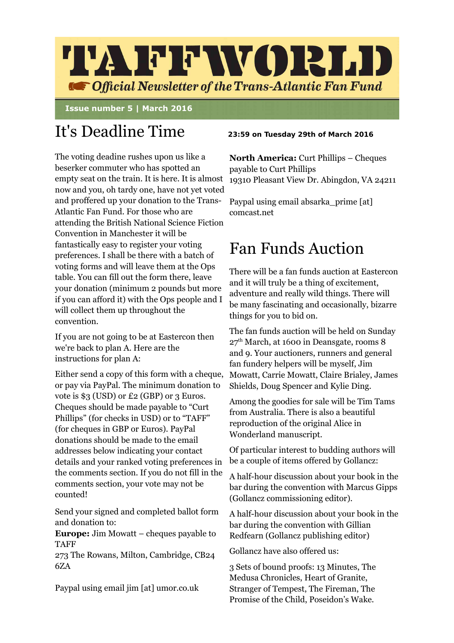

 **Issue number 5 | March 2016**

# It's Deadline Time **23:59 on Tuesday 29th of March 2016**

The voting deadine rushes upon us like a beserker commuter who has spotted an empty seat on the train. It is here. It is almost now and you, oh tardy one, have not yet voted and proffered up your donation to the Trans-Atlantic Fan Fund. For those who are attending the British National Science Fiction Convention in Manchester it will be fantastically easy to register your voting preferences. I shall be there with a batch of voting forms and will leave them at the Ops table. You can fill out the form there, leave your donation (minimum 2 pounds but more if you can afford it) with the Ops people and I will collect them up throughout the convention.

If you are not going to be at Eastercon then we're back to plan A. Here are the instructions for plan A:

Either send a copy of this form with a cheque, or pay via PayPal. The minimum donation to vote is \$3 (USD) or £2 (GBP) or 3 Euros. Cheques should be made payable to "Curt Phillips" (for checks in USD) or to "TAFF" (for cheques in GBP or Euros). PayPal donations should be made to the email addresses below indicating your contact details and your ranked voting preferences in the comments section. If you do not fill in the comments section, your vote may not be counted!

Send your signed and completed ballot form and donation to:

**Europe:** Jim Mowatt – cheques payable to TAFF

273 The Rowans, Milton, Cambridge, CB24 6ZA

Paypal using email jim [at] umor.co.uk

**North America: Curt Phillips – Cheques** payable to Curt Phillips 19310 Pleasant View Dr. Abingdon, VA 24211

Paypal using email absarka prime [at] comcast.net

## Fan Funds Auction

There will be a fan funds auction at Eastercon and it will truly be a thing of excitement, adventure and really wild things. There will be many fascinating and occasionally, bizarre things for you to bid on.

The fan funds auction will be held on Sunday  $27<sup>th</sup> March$ , at 1600 in Deansgate, rooms 8 and 9. Your auctioners, runners and general fan fundery helpers will be myself, Jim Mowatt, Carrie Mowatt, Claire Brialey, James Shields, Doug Spencer and Kylie Ding.

Among the goodies for sale will be Tim Tams from Australia. There is also a beautiful reproduction of the original Alice in Wonderland manuscript.

Of particular interest to budding authors will be a couple of items offered by Gollancz:

A half-hour discussion about your book in the bar during the convention with Marcus Gipps (Gollancz commissioning editor).

A half-hour discussion about your book in the bar during the convention with Gillian Redfearn (Gollancz publishing editor)

Gollancz have also offered us:

3 Sets of bound proofs: 13 Minutes, The Medusa Chronicles, Heart of Granite, Stranger of Tempest, The Fireman, The Promise of the Child, Poseidon's Wake.